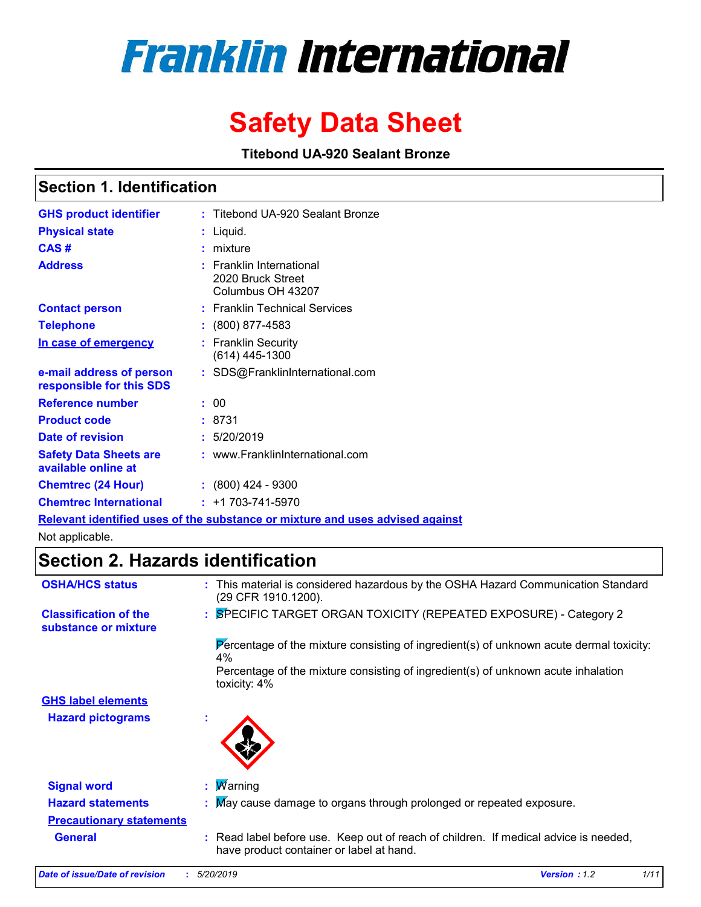# **Franklin International**

## **Safety Data Sheet**

**Titebond UA-920 Sealant Bronze**

### **Section 1. Identification**

| <b>GHS product identifier</b>                        | : Titebond UA-920 Sealant Bronze                                              |
|------------------------------------------------------|-------------------------------------------------------------------------------|
| <b>Physical state</b>                                | : Liquid.                                                                     |
| CAS#                                                 | : mixture                                                                     |
| <b>Address</b>                                       | $:$ Franklin International<br>2020 Bruck Street<br>Columbus OH 43207          |
| <b>Contact person</b>                                | : Franklin Technical Services                                                 |
| <b>Telephone</b>                                     | : (800) 877-4583                                                              |
| In case of emergency                                 | : Franklin Security<br>$(614)$ 445-1300                                       |
| e-mail address of person<br>responsible for this SDS | : SDS@FranklinInternational.com                                               |
| <b>Reference number</b>                              | : 00                                                                          |
| <b>Product code</b>                                  | : 8731                                                                        |
| Date of revision                                     | : 5/20/2019                                                                   |
| <b>Safety Data Sheets are</b><br>available online at | : www.FranklinInternational.com                                               |
| <b>Chemtrec (24 Hour)</b>                            | $: (800)$ 424 - 9300                                                          |
| <b>Chemtrec International</b>                        | $: +1703 - 741 - 5970$                                                        |
|                                                      | Relevant identified uses of the substance or mixture and uses advised against |

Not applicable.

### **Section 2. Hazards identification**

| <b>OSHA/HCS status</b>                               | : This material is considered hazardous by the OSHA Hazard Communication Standard<br>(29 CFR 1910.1200).                         |
|------------------------------------------------------|----------------------------------------------------------------------------------------------------------------------------------|
| <b>Classification of the</b><br>substance or mixture | : SPECIFIC TARGET ORGAN TOXICITY (REPEATED EXPOSURE) - Category 2                                                                |
|                                                      | Percentage of the mixture consisting of ingredient(s) of unknown acute dermal toxicity:<br>4%                                    |
|                                                      | Percentage of the mixture consisting of ingredient(s) of unknown acute inhalation<br>toxicity: 4%                                |
| <b>GHS label elements</b>                            |                                                                                                                                  |
| <b>Hazard pictograms</b>                             | $\mathbf{r}$                                                                                                                     |
| <b>Signal word</b>                                   | : $M$ arning                                                                                                                     |
| <b>Hazard statements</b>                             | : May cause damage to organs through prolonged or repeated exposure.                                                             |
| <b>Precautionary statements</b>                      |                                                                                                                                  |
| <b>General</b>                                       | : Read label before use. Keep out of reach of children. If medical advice is needed,<br>have product container or label at hand. |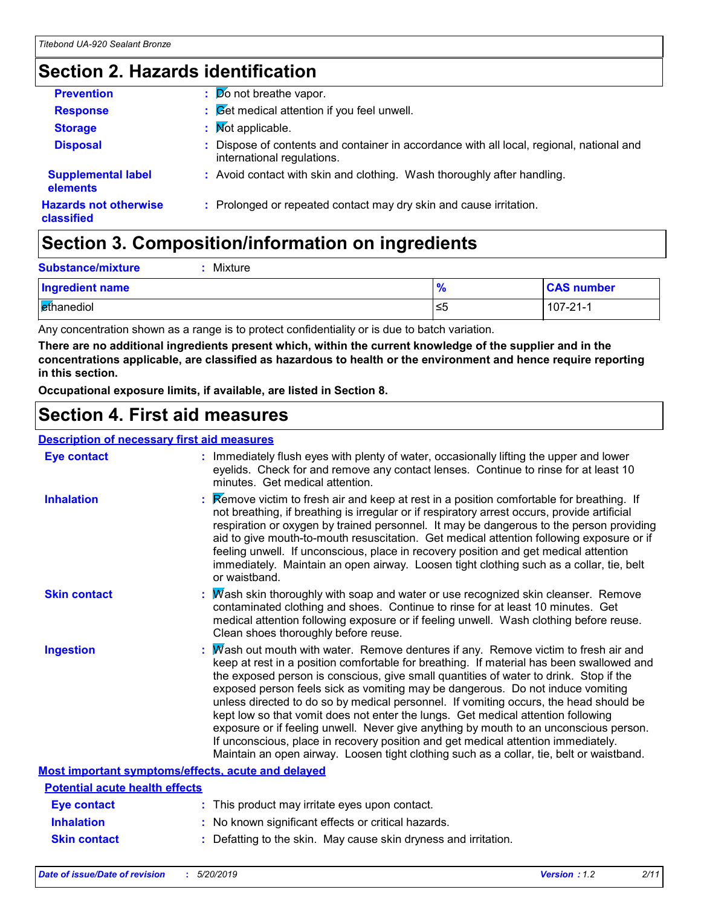### **Section 2. Hazards identification**

| <b>Prevention</b>                          | $\frac{1}{2}$ Do not breathe vapor.                                                                                    |
|--------------------------------------------|------------------------------------------------------------------------------------------------------------------------|
| <b>Response</b>                            | $\therefore$ $\mathcal{B}$ et medical attention if you feel unwell.                                                    |
| <b>Storage</b>                             | : Mot applicable.                                                                                                      |
| <b>Disposal</b>                            | : Dispose of contents and container in accordance with all local, regional, national and<br>international regulations. |
| <b>Supplemental label</b><br>elements      | : Avoid contact with skin and clothing. Wash thoroughly after handling.                                                |
| <b>Hazards not otherwise</b><br>classified | : Prolonged or repeated contact may dry skin and cause irritation.                                                     |

### **Section 3. Composition/information on ingredients**

| <b>Substance/mixture</b><br>Mixture |      |                   |
|-------------------------------------|------|-------------------|
| <b>Ingredient name</b>              |      | <b>CAS number</b> |
| ethanediol                          | 5≥ ا | 107-21-1          |

Any concentration shown as a range is to protect confidentiality or is due to batch variation.

**There are no additional ingredients present which, within the current knowledge of the supplier and in the concentrations applicable, are classified as hazardous to health or the environment and hence require reporting in this section.**

**Occupational exposure limits, if available, are listed in Section 8.**

### **Section 4. First aid measures**

#### **Description of necessary first aid measures**

| <b>Eye contact</b>                                        |  | : Immediately flush eyes with plenty of water, occasionally lifting the upper and lower<br>eyelids. Check for and remove any contact lenses. Continue to rinse for at least 10<br>minutes. Get medical attention.                                                                                                                                                                                                                                                                                                                                                                                                                                                                                                                                                                                                 |  |
|-----------------------------------------------------------|--|-------------------------------------------------------------------------------------------------------------------------------------------------------------------------------------------------------------------------------------------------------------------------------------------------------------------------------------------------------------------------------------------------------------------------------------------------------------------------------------------------------------------------------------------------------------------------------------------------------------------------------------------------------------------------------------------------------------------------------------------------------------------------------------------------------------------|--|
| <b>Inhalation</b>                                         |  | Remove victim to fresh air and keep at rest in a position comfortable for breathing. If<br>not breathing, if breathing is irregular or if respiratory arrest occurs, provide artificial<br>respiration or oxygen by trained personnel. It may be dangerous to the person providing<br>aid to give mouth-to-mouth resuscitation. Get medical attention following exposure or if<br>feeling unwell. If unconscious, place in recovery position and get medical attention<br>immediately. Maintain an open airway. Loosen tight clothing such as a collar, tie, belt<br>or waistband.                                                                                                                                                                                                                                |  |
| <b>Skin contact</b>                                       |  | $\therefore$ Wash skin thoroughly with soap and water or use recognized skin cleanser. Remove<br>contaminated clothing and shoes. Continue to rinse for at least 10 minutes. Get<br>medical attention following exposure or if feeling unwell. Wash clothing before reuse.<br>Clean shoes thoroughly before reuse.                                                                                                                                                                                                                                                                                                                                                                                                                                                                                                |  |
| <b>Ingestion</b>                                          |  | : Mash out mouth with water. Remove dentures if any. Remove victim to fresh air and<br>keep at rest in a position comfortable for breathing. If material has been swallowed and<br>the exposed person is conscious, give small quantities of water to drink. Stop if the<br>exposed person feels sick as vomiting may be dangerous. Do not induce vomiting<br>unless directed to do so by medical personnel. If vomiting occurs, the head should be<br>kept low so that vomit does not enter the lungs. Get medical attention following<br>exposure or if feeling unwell. Never give anything by mouth to an unconscious person.<br>If unconscious, place in recovery position and get medical attention immediately.<br>Maintain an open airway. Loosen tight clothing such as a collar, tie, belt or waistband. |  |
| <b>Most important symptoms/effects, acute and delayed</b> |  |                                                                                                                                                                                                                                                                                                                                                                                                                                                                                                                                                                                                                                                                                                                                                                                                                   |  |
| <b>Potential acute health effects</b>                     |  |                                                                                                                                                                                                                                                                                                                                                                                                                                                                                                                                                                                                                                                                                                                                                                                                                   |  |
| <b>Eye contact</b>                                        |  | : This product may irritate eyes upon contact.                                                                                                                                                                                                                                                                                                                                                                                                                                                                                                                                                                                                                                                                                                                                                                    |  |
| <b>Inhalation</b>                                         |  | : No known significant effects or critical hazards.                                                                                                                                                                                                                                                                                                                                                                                                                                                                                                                                                                                                                                                                                                                                                               |  |
| <b>Skin contact</b>                                       |  | : Defatting to the skin. May cause skin dryness and irritation.                                                                                                                                                                                                                                                                                                                                                                                                                                                                                                                                                                                                                                                                                                                                                   |  |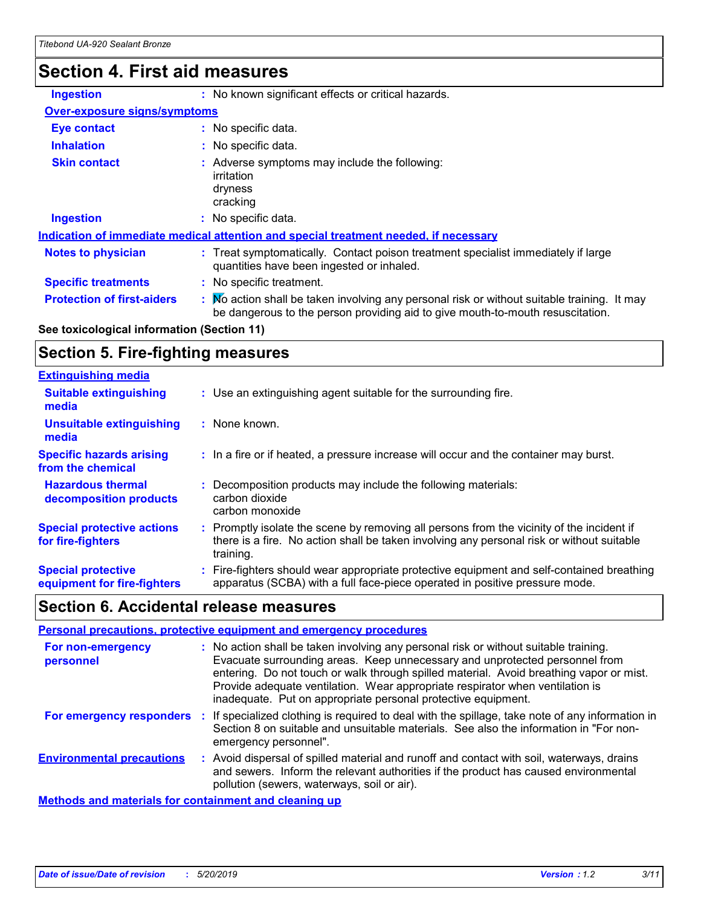### **Section 4. First aid measures**

| <b>Ingestion</b>                                                                     | : No known significant effects or critical hazards.                                                                                                                         |  |
|--------------------------------------------------------------------------------------|-----------------------------------------------------------------------------------------------------------------------------------------------------------------------------|--|
| <b>Over-exposure signs/symptoms</b>                                                  |                                                                                                                                                                             |  |
| <b>Eye contact</b>                                                                   | : No specific data.                                                                                                                                                         |  |
| <b>Inhalation</b>                                                                    | : No specific data.                                                                                                                                                         |  |
| <b>Skin contact</b>                                                                  | : Adverse symptoms may include the following:<br>irritation<br>dryness<br>cracking                                                                                          |  |
| <b>Ingestion</b>                                                                     | : No specific data.                                                                                                                                                         |  |
| Indication of immediate medical attention and special treatment needed, if necessary |                                                                                                                                                                             |  |
| <b>Notes to physician</b>                                                            | : Treat symptomatically. Contact poison treatment specialist immediately if large<br>quantities have been ingested or inhaled.                                              |  |
| <b>Specific treatments</b>                                                           | : No specific treatment.                                                                                                                                                    |  |
| <b>Protection of first-aiders</b>                                                    | Mo action shall be taken involving any personal risk or without suitable training. It may<br>be dangerous to the person providing aid to give mouth-to-mouth resuscitation. |  |

### **See toxicological information (Section 11)**

### **Section 5. Fire-fighting measures**

| <b>Extinguishing media</b>                               |                                                                                                                                                                                                     |
|----------------------------------------------------------|-----------------------------------------------------------------------------------------------------------------------------------------------------------------------------------------------------|
| <b>Suitable extinguishing</b><br>media                   | : Use an extinguishing agent suitable for the surrounding fire.                                                                                                                                     |
| <b>Unsuitable extinguishing</b><br>media                 | : None known.                                                                                                                                                                                       |
| <b>Specific hazards arising</b><br>from the chemical     | : In a fire or if heated, a pressure increase will occur and the container may burst.                                                                                                               |
| <b>Hazardous thermal</b><br>decomposition products       | Decomposition products may include the following materials:<br>carbon dioxide<br>carbon monoxide                                                                                                    |
| <b>Special protective actions</b><br>for fire-fighters   | : Promptly isolate the scene by removing all persons from the vicinity of the incident if<br>there is a fire. No action shall be taken involving any personal risk or without suitable<br>training. |
| <b>Special protective</b><br>equipment for fire-fighters | Fire-fighters should wear appropriate protective equipment and self-contained breathing<br>apparatus (SCBA) with a full face-piece operated in positive pressure mode.                              |

### **Section 6. Accidental release measures**

| Personal precautions, protective equipment and emergency procedures |  |                                                                                                                                                                                                                                                                                                                                                                                                                  |
|---------------------------------------------------------------------|--|------------------------------------------------------------------------------------------------------------------------------------------------------------------------------------------------------------------------------------------------------------------------------------------------------------------------------------------------------------------------------------------------------------------|
| For non-emergency<br>personnel                                      |  | : No action shall be taken involving any personal risk or without suitable training.<br>Evacuate surrounding areas. Keep unnecessary and unprotected personnel from<br>entering. Do not touch or walk through spilled material. Avoid breathing vapor or mist.<br>Provide adequate ventilation. Wear appropriate respirator when ventilation is<br>inadequate. Put on appropriate personal protective equipment. |
| For emergency responders :                                          |  | If specialized clothing is required to deal with the spillage, take note of any information in<br>Section 8 on suitable and unsuitable materials. See also the information in "For non-<br>emergency personnel".                                                                                                                                                                                                 |
| <b>Environmental precautions</b>                                    |  | : Avoid dispersal of spilled material and runoff and contact with soil, waterways, drains<br>and sewers. Inform the relevant authorities if the product has caused environmental<br>pollution (sewers, waterways, soil or air).                                                                                                                                                                                  |
| <b>Methods and materials for containment and cleaning up</b>        |  |                                                                                                                                                                                                                                                                                                                                                                                                                  |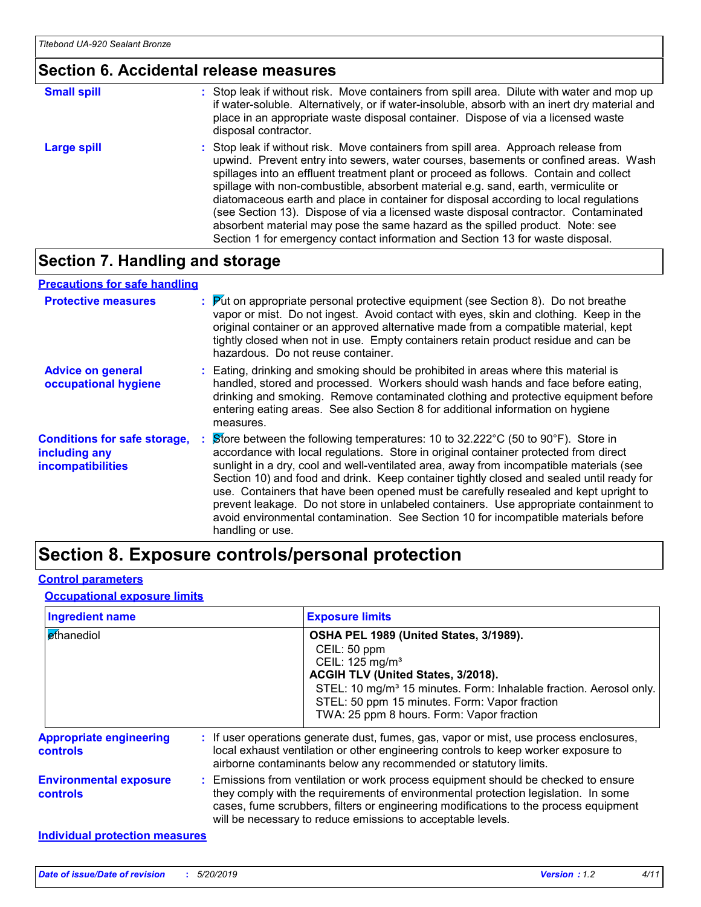### **Section 6. Accidental release measures**

| <b>Small spill</b> | : Stop leak if without risk. Move containers from spill area. Dilute with water and mop up<br>if water-soluble. Alternatively, or if water-insoluble, absorb with an inert dry material and<br>place in an appropriate waste disposal container. Dispose of via a licensed waste<br>disposal contractor.                                                                                                                                                                                                                                                                                                                                                                                                     |
|--------------------|--------------------------------------------------------------------------------------------------------------------------------------------------------------------------------------------------------------------------------------------------------------------------------------------------------------------------------------------------------------------------------------------------------------------------------------------------------------------------------------------------------------------------------------------------------------------------------------------------------------------------------------------------------------------------------------------------------------|
| <b>Large spill</b> | : Stop leak if without risk. Move containers from spill area. Approach release from<br>upwind. Prevent entry into sewers, water courses, basements or confined areas. Wash<br>spillages into an effluent treatment plant or proceed as follows. Contain and collect<br>spillage with non-combustible, absorbent material e.g. sand, earth, vermiculite or<br>diatomaceous earth and place in container for disposal according to local regulations<br>(see Section 13). Dispose of via a licensed waste disposal contractor. Contaminated<br>absorbent material may pose the same hazard as the spilled product. Note: see<br>Section 1 for emergency contact information and Section 13 for waste disposal. |

### **Section 7. Handling and storage**

#### **Advice on general occupational hygiene Conditions for safe storage, including any incompatibilities** Eating, drinking and smoking should be prohibited in areas where this material is **:** handled, stored and processed. Workers should wash hands and face before eating, drinking and smoking. Remove contaminated clothing and protective equipment before entering eating areas. See also Section 8 for additional information on hygiene measures. Store between the following temperatures: 10 to 32.222°C (50 to 90°F). Store in **:** accordance with local regulations. Store in original container protected from direct sunlight in a dry, cool and well-ventilated area, away from incompatible materials (see Section 10) and food and drink. Keep container tightly closed and sealed until ready for use. Containers that have been opened must be carefully resealed and kept upright to prevent leakage. Do not store in unlabeled containers. Use appropriate containment to avoid environmental contamination. See Section 10 for incompatible materials before handling or use. **Protective measures : Put on appropriate personal protective equipment (see Section 8). Do not breathe <b>Protestian** vapor or mist. Do not ingest. Avoid contact with eyes, skin and clothing. Keep in the original container or an approved alternative made from a compatible material, kept tightly closed when not in use. Empty containers retain product residue and can be hazardous. Do not reuse container. **Precautions for safe handling**

### **Section 8. Exposure controls/personal protection**

#### **Control parameters**

#### **Occupational exposure limits**

| <b>Ingredient name</b>                           | <b>Exposure limits</b>                                                                                                                                                                                                                                                                                                          |
|--------------------------------------------------|---------------------------------------------------------------------------------------------------------------------------------------------------------------------------------------------------------------------------------------------------------------------------------------------------------------------------------|
| ethanediol                                       | OSHA PEL 1989 (United States, 3/1989).<br>CEIL: 50 ppm<br>CEIL: 125 mg/m <sup>3</sup><br>ACGIH TLV (United States, 3/2018).<br>STEL: 10 mg/m <sup>3</sup> 15 minutes. Form: Inhalable fraction. Aerosol only.<br>STEL: 50 ppm 15 minutes. Form: Vapor fraction<br>TWA: 25 ppm 8 hours. Form: Vapor fraction                     |
| <b>Appropriate engineering</b><br>controls       | : If user operations generate dust, fumes, gas, vapor or mist, use process enclosures,<br>local exhaust ventilation or other engineering controls to keep worker exposure to<br>airborne contaminants below any recommended or statutory limits.                                                                                |
| <b>Environmental exposure</b><br><b>controls</b> | : Emissions from ventilation or work process equipment should be checked to ensure<br>they comply with the requirements of environmental protection legislation. In some<br>cases, fume scrubbers, filters or engineering modifications to the process equipment<br>will be necessary to reduce emissions to acceptable levels. |
| <b>Individual protection measures</b>            |                                                                                                                                                                                                                                                                                                                                 |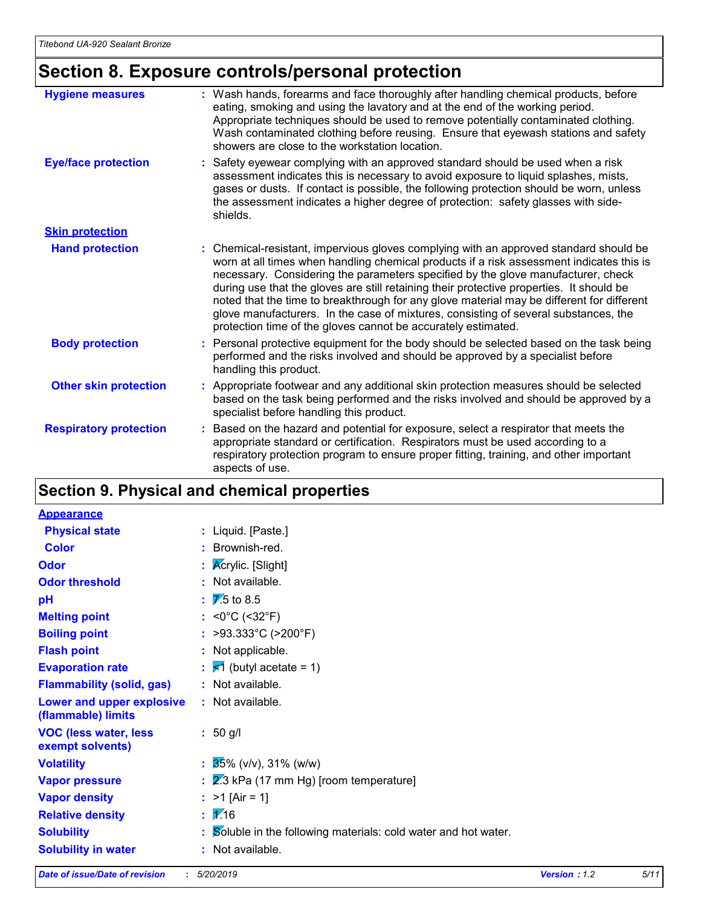### **Section 8. Exposure controls/personal protection**

| <b>Hygiene measures</b>       | : Wash hands, forearms and face thoroughly after handling chemical products, before<br>eating, smoking and using the lavatory and at the end of the working period.<br>Appropriate techniques should be used to remove potentially contaminated clothing.<br>Wash contaminated clothing before reusing. Ensure that eyewash stations and safety<br>showers are close to the workstation location.                                                                                                                                                                                                                      |
|-------------------------------|------------------------------------------------------------------------------------------------------------------------------------------------------------------------------------------------------------------------------------------------------------------------------------------------------------------------------------------------------------------------------------------------------------------------------------------------------------------------------------------------------------------------------------------------------------------------------------------------------------------------|
| <b>Eye/face protection</b>    | : Safety eyewear complying with an approved standard should be used when a risk<br>assessment indicates this is necessary to avoid exposure to liquid splashes, mists,<br>gases or dusts. If contact is possible, the following protection should be worn, unless<br>the assessment indicates a higher degree of protection: safety glasses with side-<br>shields.                                                                                                                                                                                                                                                     |
| <b>Skin protection</b>        |                                                                                                                                                                                                                                                                                                                                                                                                                                                                                                                                                                                                                        |
| <b>Hand protection</b>        | : Chemical-resistant, impervious gloves complying with an approved standard should be<br>worn at all times when handling chemical products if a risk assessment indicates this is<br>necessary. Considering the parameters specified by the glove manufacturer, check<br>during use that the gloves are still retaining their protective properties. It should be<br>noted that the time to breakthrough for any glove material may be different for different<br>glove manufacturers. In the case of mixtures, consisting of several substances, the<br>protection time of the gloves cannot be accurately estimated. |
| <b>Body protection</b>        | : Personal protective equipment for the body should be selected based on the task being<br>performed and the risks involved and should be approved by a specialist before<br>handling this product.                                                                                                                                                                                                                                                                                                                                                                                                                    |
| <b>Other skin protection</b>  | : Appropriate footwear and any additional skin protection measures should be selected<br>based on the task being performed and the risks involved and should be approved by a<br>specialist before handling this product.                                                                                                                                                                                                                                                                                                                                                                                              |
| <b>Respiratory protection</b> | : Based on the hazard and potential for exposure, select a respirator that meets the<br>appropriate standard or certification. Respirators must be used according to a<br>respiratory protection program to ensure proper fitting, training, and other important<br>aspects of use.                                                                                                                                                                                                                                                                                                                                    |

### **Section 9. Physical and chemical properties**

| <b>Appearance</b>                                 |                                                                 |
|---------------------------------------------------|-----------------------------------------------------------------|
| <b>Physical state</b>                             | : Liquid. [Paste.]                                              |
| <b>Color</b>                                      | : Brownish-red.                                                 |
| <b>Odor</b>                                       | : $\sqrt{\mathsf{Ac}$ rylic. [Slight]                           |
| <b>Odor threshold</b>                             | : Not available.                                                |
| pH                                                | $\overline{7}$ .5 to 8.5                                        |
| <b>Melting point</b>                              | : < $0^{\circ}$ C (< $32^{\circ}$ F)                            |
| <b>Boiling point</b>                              | : >93.333°C (>200°F)                                            |
| <b>Flash point</b>                                | : Not applicable.                                               |
| <b>Evaporation rate</b>                           | $\frac{1}{5}$ (butyl acetate = 1)                               |
| <b>Flammability (solid, gas)</b>                  | : Not available.                                                |
| Lower and upper explosive<br>(flammable) limits   | : Not available.                                                |
| <b>VOC (less water, less)</b><br>exempt solvents) | $: 50$ g/l                                                      |
| <b>Volatility</b>                                 | $\frac{1}{25\%}$ (v/v), 31% (w/w)                               |
| <b>Vapor pressure</b>                             | $\frac{1}{2}$ 2.3 kPa (17 mm Hg) [room temperature]             |
| <b>Vapor density</b>                              | : $>1$ [Air = 1]                                                |
| <b>Relative density</b>                           | $\mathbf{1} \mathbf{2}$ 16                                      |
| <b>Solubility</b>                                 | : Soluble in the following materials: cold water and hot water. |
| <b>Solubility in water</b>                        | : Not available.                                                |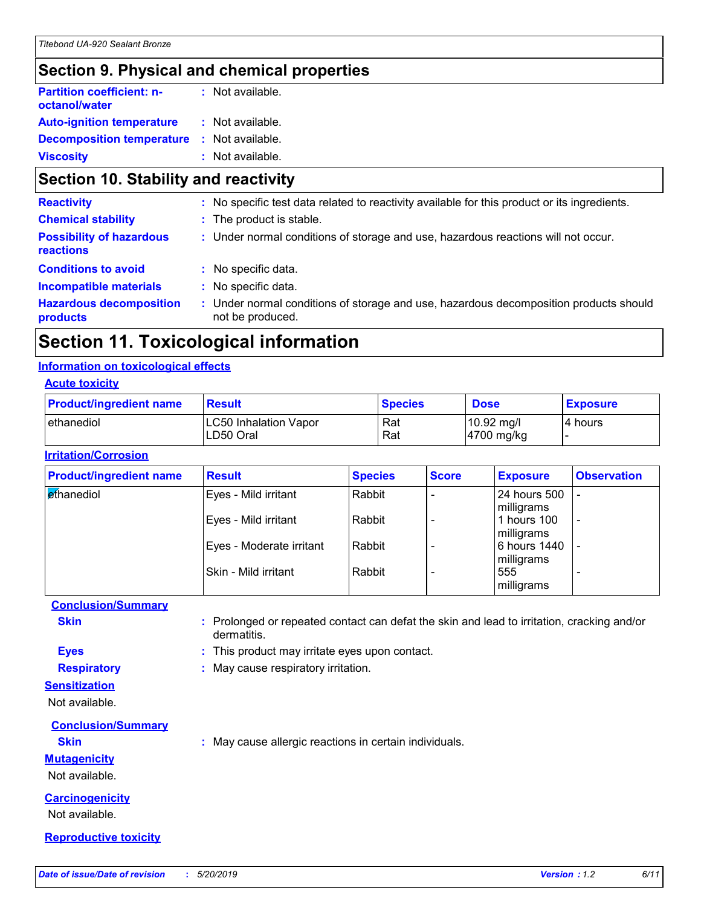### **Section 9. Physical and chemical properties**

| <b>Partition coefficient: n-</b><br>octanol/water | : Not available. |  |
|---------------------------------------------------|------------------|--|
| <b>Auto-ignition temperature</b>                  | : Not available. |  |
| <b>Decomposition temperature</b>                  | : Not available. |  |
| <b>Viscosity</b>                                  | : Not available. |  |

### **Section 10. Stability and reactivity**

| : No specific test data related to reactivity available for this product or its ingredients.                  |
|---------------------------------------------------------------------------------------------------------------|
| : The product is stable.                                                                                      |
| : Under normal conditions of storage and use, hazardous reactions will not occur.                             |
| : No specific data.                                                                                           |
| : No specific data.                                                                                           |
| Under normal conditions of storage and use, hazardous decomposition products should<br>t.<br>not be produced. |
|                                                                                                               |

### **Section 11. Toxicological information**

#### **Information on toxicological effects**

#### **Acute toxicity**

| <b>Product/ingredient name</b> | <b>Result</b>                             | <b>Species</b> | <b>Dose</b>                        | <b>Exposure</b> |
|--------------------------------|-------------------------------------------|----------------|------------------------------------|-----------------|
| <b>l</b> ethanediol            | <b>LC50 Inhalation Vapor</b><br>LD50 Oral | Rat<br>Rat     | $10.92 \text{ mg/l}$<br>4700 mg/kg | 4 hours         |

#### **Irritation/Corrosion**

| <b>Product/ingredient name</b> | <b>Result</b>            | <b>Species</b> | <b>Score</b>             | <b>Exposure</b>                   | <b>Observation</b>       |
|--------------------------------|--------------------------|----------------|--------------------------|-----------------------------------|--------------------------|
| ethanediol                     | Eyes - Mild irritant     | Rabbit         | $\overline{\phantom{0}}$ | <b>24 hours 500</b><br>milligrams |                          |
|                                | Eyes - Mild irritant     | Rabbit         |                          | 1 hours 100<br>milligrams         | $\overline{\phantom{a}}$ |
|                                | Eyes - Moderate irritant | Rabbit         |                          | 6 hours 1440<br>milligrams        |                          |
|                                | l Skin - Mild irritant   | Rabbit         |                          | 555<br>milligrams                 |                          |

#### **Conclusion/Summary**

**Skin :** Prolonged or repeated contact can defat the skin and lead to irritation, cracking and/or dermatitis.

**Eyes :** This product may irritate eyes upon contact.

**Respiratory :** May cause respiratory irritation.

#### **Sensitization**

Not available.

#### **Conclusion/Summary**

**Skin :** May cause allergic reactions in certain individuals.

#### **Mutagenicity**

Not available.

#### **Carcinogenicity**

Not available.

#### **Reproductive toxicity**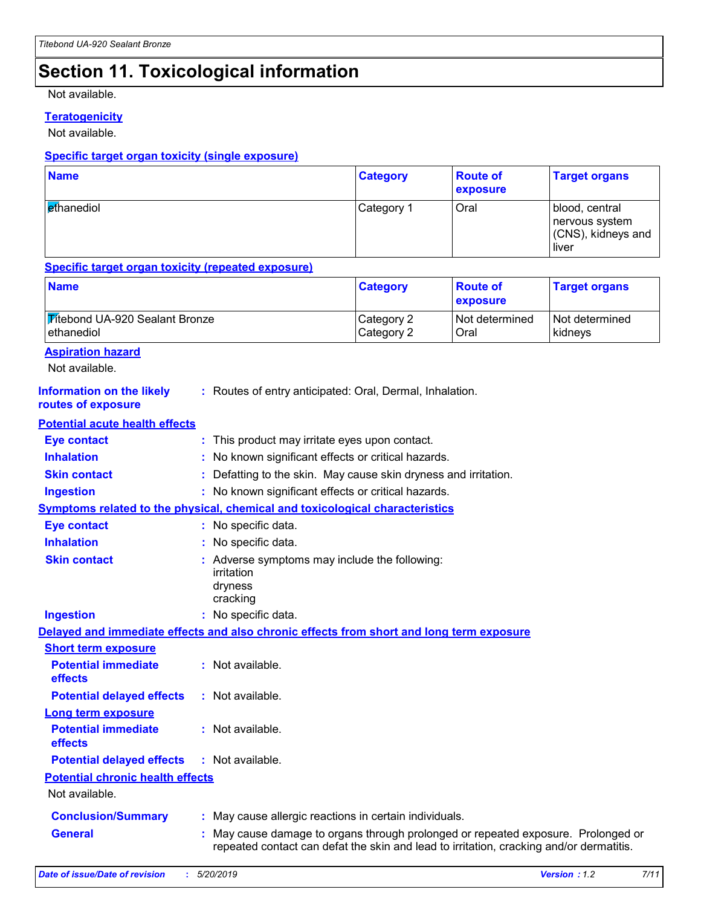### **Section 11. Toxicological information**

Not available.

#### **Teratogenicity**

Not available.

#### **Specific target organ toxicity (single exposure)**

| <b>Name</b>                     | <b>Category</b> | <b>Route of</b><br><b>exposure</b> | <b>Target organs</b>                                            |
|---------------------------------|-----------------|------------------------------------|-----------------------------------------------------------------|
| <b><i><u>et</u>hanediol</i></b> | Category 1      | Oral                               | blood, central<br>nervous system<br>(CNS), kidneys and<br>liver |

#### **Specific target organ toxicity (repeated exposure)**

| <b>Name</b>                           | <b>Category</b> | <b>Route of</b><br><b>exposure</b> | <b>Target organs</b> |
|---------------------------------------|-----------------|------------------------------------|----------------------|
| <b>Titebond UA-920 Sealant Bronze</b> | Category 2      | Not determined                     | Not determined       |
| ethanediol                            | Category 2      | Oral                               | kidneys              |

#### **Aspiration hazard**

Not available.

| <b>Information on the likely</b><br>routes of exposure | : Routes of entry anticipated: Oral, Dermal, Inhalation.                                                                                                                   |
|--------------------------------------------------------|----------------------------------------------------------------------------------------------------------------------------------------------------------------------------|
| <b>Potential acute health effects</b>                  |                                                                                                                                                                            |
| <b>Eye contact</b>                                     | : This product may irritate eyes upon contact.                                                                                                                             |
| <b>Inhalation</b>                                      | : No known significant effects or critical hazards.                                                                                                                        |
| <b>Skin contact</b>                                    | Defatting to the skin. May cause skin dryness and irritation.                                                                                                              |
| <b>Ingestion</b>                                       | : No known significant effects or critical hazards.                                                                                                                        |
|                                                        | <b>Symptoms related to the physical, chemical and toxicological characteristics</b>                                                                                        |
| <b>Eye contact</b>                                     | : No specific data.                                                                                                                                                        |
| <b>Inhalation</b>                                      | No specific data.                                                                                                                                                          |
| <b>Skin contact</b>                                    | Adverse symptoms may include the following:<br>irritation<br>dryness<br>cracking                                                                                           |
| <b>Ingestion</b>                                       | : No specific data.                                                                                                                                                        |
|                                                        | Delayed and immediate effects and also chronic effects from short and long term exposure                                                                                   |
| <b>Short term exposure</b>                             |                                                                                                                                                                            |
| <b>Potential immediate</b><br>effects                  | : Not available.                                                                                                                                                           |
| <b>Potential delayed effects</b>                       | : Not available.                                                                                                                                                           |
| <b>Long term exposure</b>                              |                                                                                                                                                                            |
| <b>Potential immediate</b><br>effects                  | : Not available.                                                                                                                                                           |
| <b>Potential delayed effects</b>                       | : Not available.                                                                                                                                                           |
| <b>Potential chronic health effects</b>                |                                                                                                                                                                            |
| Not available.                                         |                                                                                                                                                                            |
| <b>Conclusion/Summary</b>                              | : May cause allergic reactions in certain individuals.                                                                                                                     |
| <b>General</b>                                         | May cause damage to organs through prolonged or repeated exposure. Prolonged or<br>repeated contact can defat the skin and lead to irritation, cracking and/or dermatitis. |
|                                                        |                                                                                                                                                                            |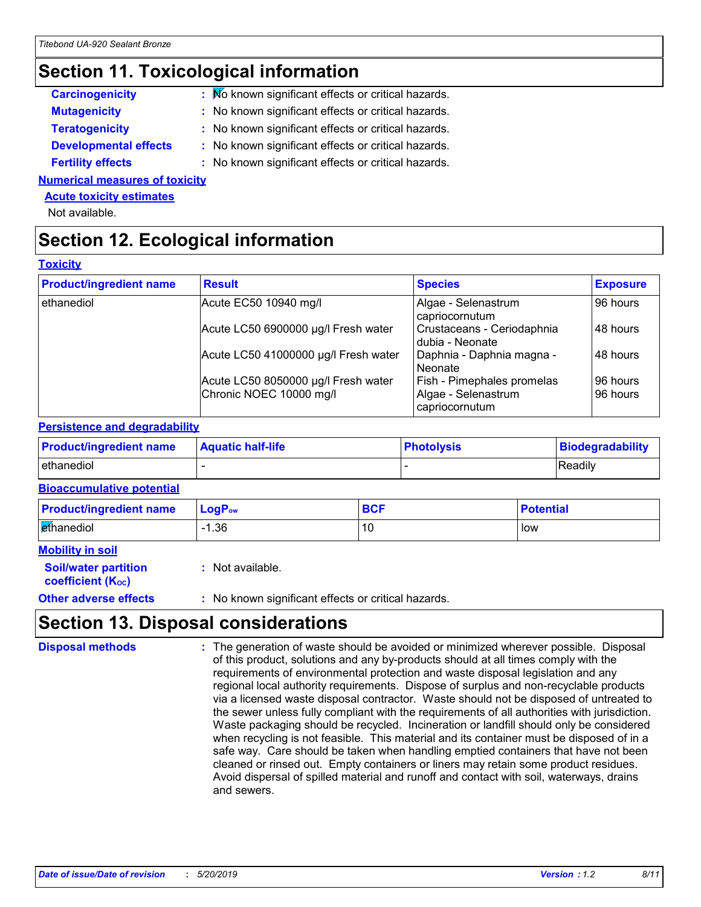### **Section 11. Toxicological information**

| : Mo known significant effects or critical hazards. |
|-----------------------------------------------------|
| : No known significant effects or critical hazards. |
| : No known significant effects or critical hazards. |
| : No known significant effects or critical hazards. |
| : No known significant effects or critical hazards. |
|                                                     |

**Numerical measures of toxicity**

#### **Acute toxicity estimates**

Not available.

### **Section 12. Ecological information**

#### **Toxicity**

| <b>Product/ingredient name</b> | <b>Result</b>                        | <b>Species</b>                                | <b>Exposure</b> |
|--------------------------------|--------------------------------------|-----------------------------------------------|-----------------|
| ethanediol                     | Acute EC50 10940 mg/l                | Algae - Selenastrum<br>capriocornutum         | 96 hours        |
|                                | Acute LC50 6900000 µg/l Fresh water  | Crustaceans - Ceriodaphnia<br>dubia - Neonate | 48 hours        |
|                                | Acute LC50 41000000 µg/l Fresh water | Daphnia - Daphnia magna -<br>l Neonate        | 48 hours        |
|                                | Acute LC50 8050000 µg/l Fresh water  | <b>Fish - Pimephales promelas</b>             | 96 hours        |
|                                | Chronic NOEC 10000 mg/l              | Algae - Selenastrum<br>capriocornutum         | 96 hours        |

#### **Persistence and degradability**

| <b>Product/ingredient name</b> | <b>Aquatic half-life</b> | <b>Photolysis</b> | Biodegradability |
|--------------------------------|--------------------------|-------------------|------------------|
| ethanediol                     |                          |                   | <b>Readily</b>   |

#### **Bioaccumulative potential**

| <b>Product/ingredient name</b> | $LogPow$    | <b>DAE</b> | <b>Potential</b> |
|--------------------------------|-------------|------------|------------------|
| ethanediol                     | <b>1.36</b> |            | low              |

| <b>Mobility in soil</b> |                             |
|-------------------------|-----------------------------|
|                         | <b>Soil/water partition</b> |

**coefficient (Koc)** 

**:** Not available.

**Other adverse effects** : No known significant effects or critical hazards.

### **Section 13. Disposal considerations**

The generation of waste should be avoided or minimized wherever possible. Disposal of this product, solutions and any by-products should at all times comply with the requirements of environmental protection and waste disposal legislation and any regional local authority requirements. Dispose of surplus and non-recyclable products via a licensed waste disposal contractor. Waste should not be disposed of untreated to the sewer unless fully compliant with the requirements of all authorities with jurisdiction. Waste packaging should be recycled. Incineration or landfill should only be considered when recycling is not feasible. This material and its container must be disposed of in a safe way. Care should be taken when handling emptied containers that have not been cleaned or rinsed out. Empty containers or liners may retain some product residues. Avoid dispersal of spilled material and runoff and contact with soil, waterways, drains and sewers. **Disposal methods :**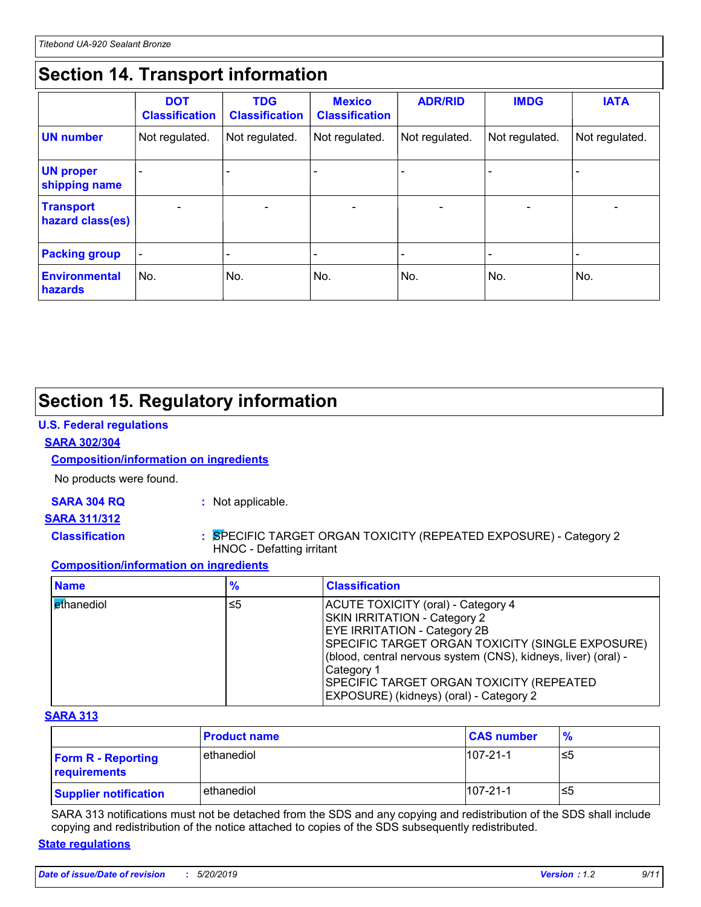### **Section 14. Transport information**

|                                      | <b>DOT</b><br><b>Classification</b> | <b>TDG</b><br><b>Classification</b> | <b>Mexico</b><br><b>Classification</b> | <b>ADR/RID</b>           | <b>IMDG</b>              | <b>IATA</b>              |
|--------------------------------------|-------------------------------------|-------------------------------------|----------------------------------------|--------------------------|--------------------------|--------------------------|
| <b>UN</b> number                     | Not regulated.                      | Not regulated.                      | Not regulated.                         | Not regulated.           | Not regulated.           | Not regulated.           |
| <b>UN proper</b><br>shipping name    |                                     |                                     |                                        |                          |                          |                          |
| <b>Transport</b><br>hazard class(es) |                                     | $\overline{\phantom{0}}$            |                                        | $\overline{\phantom{0}}$ | $\overline{\phantom{0}}$ | $\overline{\phantom{0}}$ |
| <b>Packing group</b>                 | $\overline{\phantom{a}}$            |                                     |                                        |                          |                          |                          |
| <b>Environmental</b><br>hazards      | No.                                 | No.                                 | No.                                    | No.                      | No.                      | No.                      |

### **Section 15. Regulatory information**

#### **U.S. Federal regulations**

#### **SARA 302/304**

#### **Composition/information on ingredients**

No products were found.

**SARA 304 RQ :** Not applicable.

#### **SARA 311/312**

**Classification :** SPECIFIC TARGET ORGAN TOXICITY (REPEATED EXPOSURE) - Category 2 HNOC - Defatting irritant

#### **Composition/information on ingredients**

| <b>Name</b> | %  | <b>Classification</b>                                                                                                                                                                                                                                                                                                                        |
|-------------|----|----------------------------------------------------------------------------------------------------------------------------------------------------------------------------------------------------------------------------------------------------------------------------------------------------------------------------------------------|
| ethanediol  | ≤5 | ACUTE TOXICITY (oral) - Category 4<br>SKIN IRRITATION - Category 2<br><b>EYE IRRITATION - Category 2B</b><br>SPECIFIC TARGET ORGAN TOXICITY (SINGLE EXPOSURE)<br>(blood, central nervous system (CNS), kidneys, liver) (oral) -<br>Category 1<br><b>SPECIFIC TARGET ORGAN TOXICITY (REPEATED)</b><br>EXPOSURE) (kidneys) (oral) - Category 2 |

#### **SARA 313**

|                                           | <b>Product name</b> | <b>CAS number</b> | $\frac{9}{6}$ |
|-------------------------------------------|---------------------|-------------------|---------------|
| <b>Form R - Reporting</b><br>requirements | l ethanediol        | $107 - 21 - 1$    | ≤5            |
| <b>Supplier notification</b>              | ethanediol          | $107 - 21 - 1$    | ≤5            |

SARA 313 notifications must not be detached from the SDS and any copying and redistribution of the SDS shall include copying and redistribution of the notice attached to copies of the SDS subsequently redistributed.

#### **State regulations**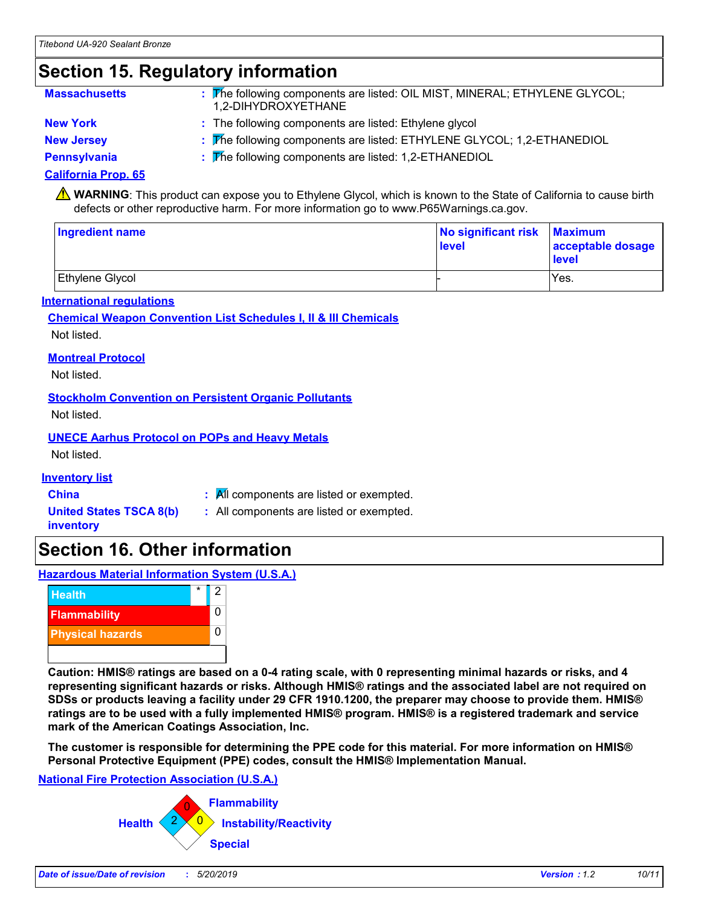### **Section 15. Regulatory information**

| <b>Massachusetts</b> | : The following components are listed: OIL MIST, MINERAL; ETHYLENE GLYCOL;<br>1.2-DIHYDROXYETHANE |
|----------------------|---------------------------------------------------------------------------------------------------|
| <b>New York</b>      | : The following components are listed: Ethylene glycol                                            |
| <b>New Jersey</b>    | : The following components are listed: ETHYLENE GLYCOL; 1,2-ETHANEDIOL                            |

**Pennsylvania :** The following components are listed: 1,2-ETHANEDIOL

#### **California Prop. 65**

**A** WARNING: This product can expose you to Ethylene Glycol, which is known to the State of California to cause birth defects or other reproductive harm. For more information go to www.P65Warnings.ca.gov.

| <b>Ingredient name</b> | No significant risk Maximum<br>level | acceptable dosage<br><b>level</b> |  |
|------------------------|--------------------------------------|-----------------------------------|--|
| Ethylene Glycol        |                                      | Yes.                              |  |

#### **International regulations**

#### **Chemical Weapon Convention List Schedules I, II & III Chemicals** Not listed.

#### **Montreal Protocol**

Not listed.

#### **Stockholm Convention on Persistent Organic Pollutants**

Not listed.

#### **UNECE Aarhus Protocol on POPs and Heavy Metals**

Not listed.

#### **Inventory list**

**United States TSCA 8(b)**

**China :** All components are listed or exempted.

**inventory**

**:** All components are listed or exempted.

### **Section 16. Other information**

**Hazardous Material Information System (U.S.A.)**



**Caution: HMIS® ratings are based on a 0-4 rating scale, with 0 representing minimal hazards or risks, and 4 representing significant hazards or risks. Although HMIS® ratings and the associated label are not required on SDSs or products leaving a facility under 29 CFR 1910.1200, the preparer may choose to provide them. HMIS® ratings are to be used with a fully implemented HMIS® program. HMIS® is a registered trademark and service mark of the American Coatings Association, Inc.**

**The customer is responsible for determining the PPE code for this material. For more information on HMIS® Personal Protective Equipment (PPE) codes, consult the HMIS® Implementation Manual.**

#### **National Fire Protection Association (U.S.A.)**